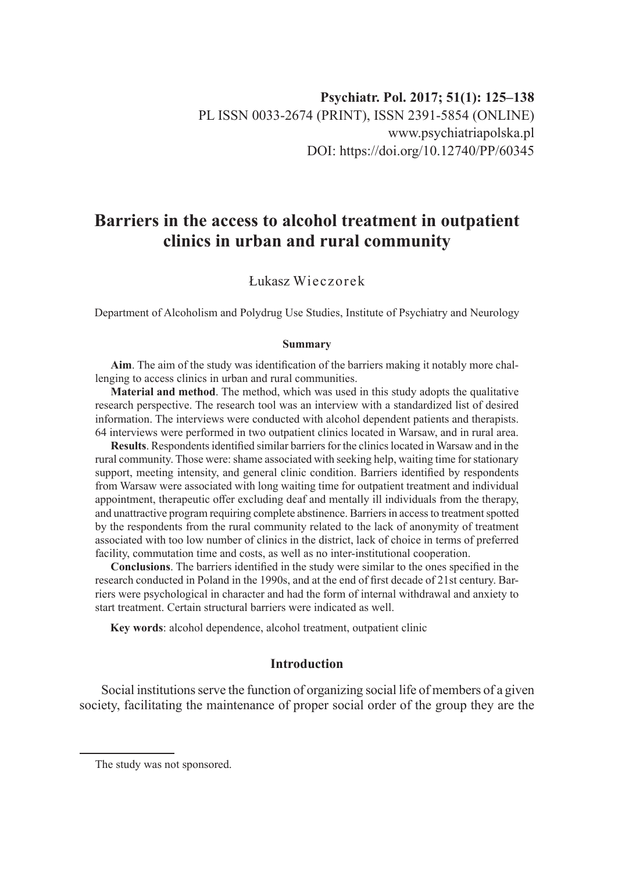# **Barriers in the access to alcohol treatment in outpatient clinics in urban and rural community**

# Łukasz Wieczorek

Department of Alcoholism and Polydrug Use Studies, Institute of Psychiatry and Neurology

#### **Summary**

**Aim**. The aim of the study was identification of the barriers making it notably more challenging to access clinics in urban and rural communities.

**Material and method**. The method, which was used in this study adopts the qualitative research perspective. The research tool was an interview with a standardized list of desired information. The interviews were conducted with alcohol dependent patients and therapists. 64 interviews were performed in two outpatient clinics located in Warsaw, and in rural area.

**Results**. Respondents identified similar barriers for the clinics located in Warsaw and in the rural community. Those were: shame associated with seeking help, waiting time for stationary support, meeting intensity, and general clinic condition. Barriers identified by respondents from Warsaw were associated with long waiting time for outpatient treatment and individual appointment, therapeutic offer excluding deaf and mentally ill individuals from the therapy, and unattractive program requiring complete abstinence. Barriers in access to treatment spotted by the respondents from the rural community related to the lack of anonymity of treatment associated with too low number of clinics in the district, lack of choice in terms of preferred facility, commutation time and costs, as well as no inter-institutional cooperation.

**Conclusions**. The barriers identified in the study were similar to the ones specified in the research conducted in Poland in the 1990s, and at the end of first decade of 21st century. Barriers were psychological in character and had the form of internal withdrawal and anxiety to start treatment. Certain structural barriers were indicated as well.

**Key words**: alcohol dependence, alcohol treatment, outpatient clinic

# **Introduction**

Social institutions serve the function of organizing social life of members of a given society, facilitating the maintenance of proper social order of the group they are the

The study was not sponsored.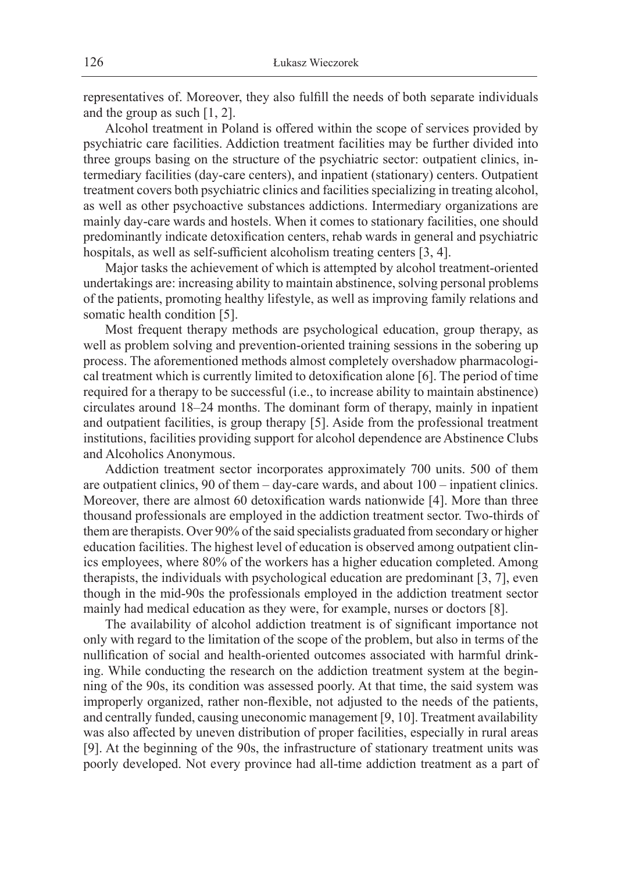representatives of. Moreover, they also fulfill the needs of both separate individuals and the group as such [1, 2].

Alcohol treatment in Poland is offered within the scope of services provided by psychiatric care facilities. Addiction treatment facilities may be further divided into three groups basing on the structure of the psychiatric sector: outpatient clinics, intermediary facilities (day-care centers), and inpatient (stationary) centers. Outpatient treatment covers both psychiatric clinics and facilities specializing in treating alcohol, as well as other psychoactive substances addictions. Intermediary organizations are mainly day-care wards and hostels. When it comes to stationary facilities, one should predominantly indicate detoxification centers, rehab wards in general and psychiatric hospitals, as well as self-sufficient alcoholism treating centers [3, 4].

Major tasks the achievement of which is attempted by alcohol treatment-oriented undertakings are: increasing ability to maintain abstinence, solving personal problems of the patients, promoting healthy lifestyle, as well as improving family relations and somatic health condition [5].

Most frequent therapy methods are psychological education, group therapy, as well as problem solving and prevention-oriented training sessions in the sobering up process. The aforementioned methods almost completely overshadow pharmacological treatment which is currently limited to detoxification alone [6]. The period of time required for a therapy to be successful (i.e., to increase ability to maintain abstinence) circulates around 18–24 months. The dominant form of therapy, mainly in inpatient and outpatient facilities, is group therapy [5]. Aside from the professional treatment institutions, facilities providing support for alcohol dependence are Abstinence Clubs and Alcoholics Anonymous.

Addiction treatment sector incorporates approximately 700 units. 500 of them are outpatient clinics, 90 of them – day-care wards, and about 100 – inpatient clinics. Moreover, there are almost 60 detoxification wards nationwide [4]. More than three thousand professionals are employed in the addiction treatment sector. Two-thirds of them are therapists. Over 90% of the said specialists graduated from secondary or higher education facilities. The highest level of education is observed among outpatient clinics employees, where 80% of the workers has a higher education completed. Among therapists, the individuals with psychological education are predominant [3, 7], even though in the mid-90s the professionals employed in the addiction treatment sector mainly had medical education as they were, for example, nurses or doctors [8].

The availability of alcohol addiction treatment is of significant importance not only with regard to the limitation of the scope of the problem, but also in terms of the nullification of social and health-oriented outcomes associated with harmful drinking. While conducting the research on the addiction treatment system at the beginning of the 90s, its condition was assessed poorly. At that time, the said system was improperly organized, rather non-flexible, not adjusted to the needs of the patients, and centrally funded, causing uneconomic management [9, 10]. Treatment availability was also affected by uneven distribution of proper facilities, especially in rural areas [9]. At the beginning of the 90s, the infrastructure of stationary treatment units was poorly developed. Not every province had all-time addiction treatment as a part of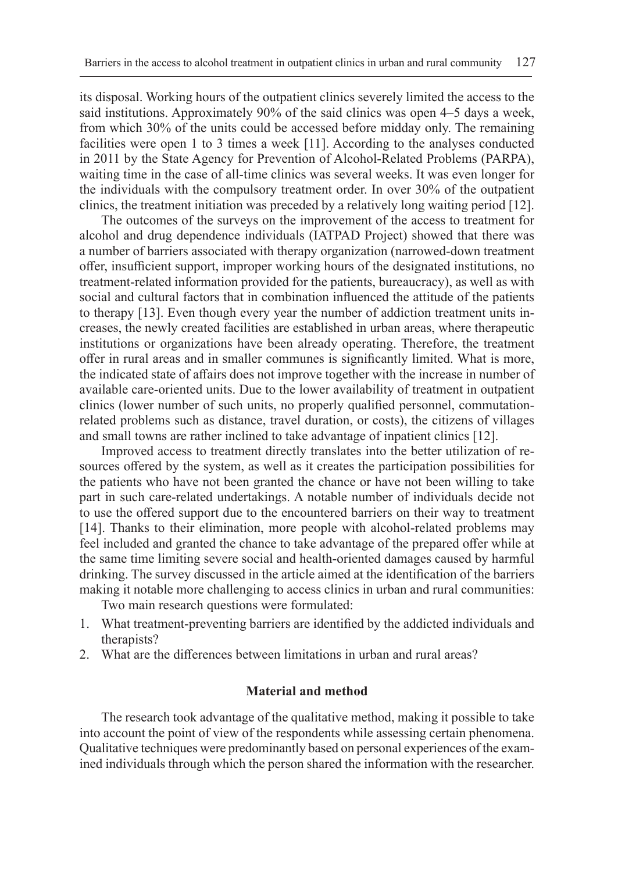its disposal. Working hours of the outpatient clinics severely limited the access to the said institutions. Approximately 90% of the said clinics was open 4–5 days a week, from which 30% of the units could be accessed before midday only. The remaining facilities were open 1 to 3 times a week [11]. According to the analyses conducted in 2011 by the State Agency for Prevention of Alcohol-Related Problems (PARPA), waiting time in the case of all-time clinics was several weeks. It was even longer for the individuals with the compulsory treatment order. In over 30% of the outpatient clinics, the treatment initiation was preceded by a relatively long waiting period [12].

The outcomes of the surveys on the improvement of the access to treatment for alcohol and drug dependence individuals (IATPAD Project) showed that there was a number of barriers associated with therapy organization (narrowed-down treatment offer, insufficient support, improper working hours of the designated institutions, no treatment-related information provided for the patients, bureaucracy), as well as with social and cultural factors that in combination influenced the attitude of the patients to therapy [13]. Even though every year the number of addiction treatment units increases, the newly created facilities are established in urban areas, where therapeutic institutions or organizations have been already operating. Therefore, the treatment offer in rural areas and in smaller communes is significantly limited. What is more, the indicated state of affairs does not improve together with the increase in number of available care-oriented units. Due to the lower availability of treatment in outpatient clinics (lower number of such units, no properly qualified personnel, commutationrelated problems such as distance, travel duration, or costs), the citizens of villages and small towns are rather inclined to take advantage of inpatient clinics [12].

Improved access to treatment directly translates into the better utilization of resources offered by the system, as well as it creates the participation possibilities for the patients who have not been granted the chance or have not been willing to take part in such care-related undertakings. A notable number of individuals decide not to use the offered support due to the encountered barriers on their way to treatment [14]. Thanks to their elimination, more people with alcohol-related problems may feel included and granted the chance to take advantage of the prepared offer while at the same time limiting severe social and health-oriented damages caused by harmful drinking. The survey discussed in the article aimed at the identification of the barriers making it notable more challenging to access clinics in urban and rural communities:

Two main research questions were formulated:

- 1. What treatment-preventing barriers are identified by the addicted individuals and therapists?
- 2. What are the differences between limitations in urban and rural areas?

#### **Material and method**

The research took advantage of the qualitative method, making it possible to take into account the point of view of the respondents while assessing certain phenomena. Qualitative techniques were predominantly based on personal experiences of the examined individuals through which the person shared the information with the researcher.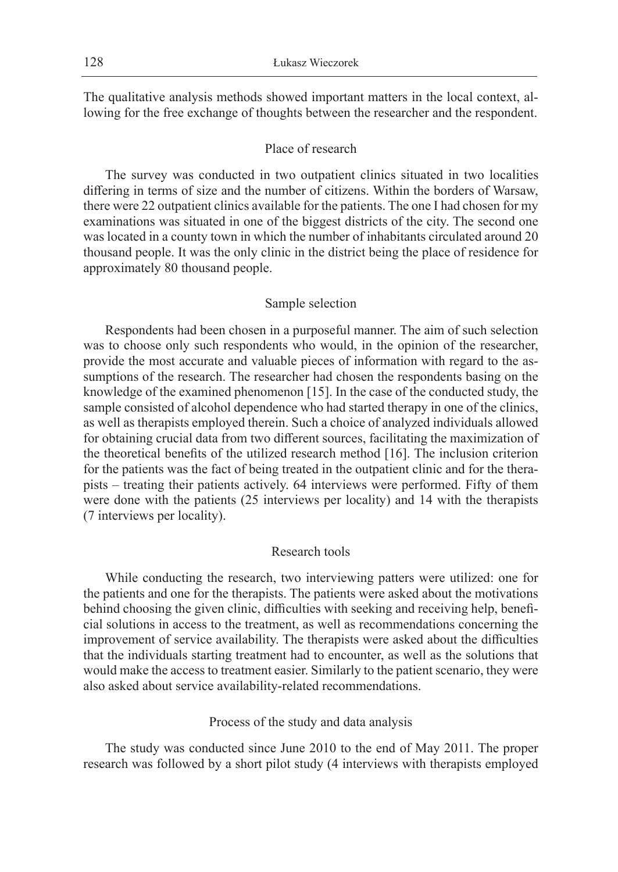The qualitative analysis methods showed important matters in the local context, allowing for the free exchange of thoughts between the researcher and the respondent.

#### Place of research

The survey was conducted in two outpatient clinics situated in two localities differing in terms of size and the number of citizens. Within the borders of Warsaw, there were 22 outpatient clinics available for the patients. The one I had chosen for my examinations was situated in one of the biggest districts of the city. The second one was located in a county town in which the number of inhabitants circulated around 20 thousand people. It was the only clinic in the district being the place of residence for approximately 80 thousand people.

#### Sample selection

Respondents had been chosen in a purposeful manner. The aim of such selection was to choose only such respondents who would, in the opinion of the researcher, provide the most accurate and valuable pieces of information with regard to the assumptions of the research. The researcher had chosen the respondents basing on the knowledge of the examined phenomenon [15]. In the case of the conducted study, the sample consisted of alcohol dependence who had started therapy in one of the clinics, as well as therapists employed therein. Such a choice of analyzed individuals allowed for obtaining crucial data from two different sources, facilitating the maximization of the theoretical benefits of the utilized research method [16]. The inclusion criterion for the patients was the fact of being treated in the outpatient clinic and for the therapists – treating their patients actively. 64 interviews were performed. Fifty of them were done with the patients (25 interviews per locality) and 14 with the therapists (7 interviews per locality).

# Research tools

While conducting the research, two interviewing patters were utilized: one for the patients and one for the therapists. The patients were asked about the motivations behind choosing the given clinic, difficulties with seeking and receiving help, beneficial solutions in access to the treatment, as well as recommendations concerning the improvement of service availability. The therapists were asked about the difficulties that the individuals starting treatment had to encounter, as well as the solutions that would make the access to treatment easier. Similarly to the patient scenario, they were also asked about service availability-related recommendations.

#### Process of the study and data analysis

The study was conducted since June 2010 to the end of May 2011. The proper research was followed by a short pilot study (4 interviews with therapists employed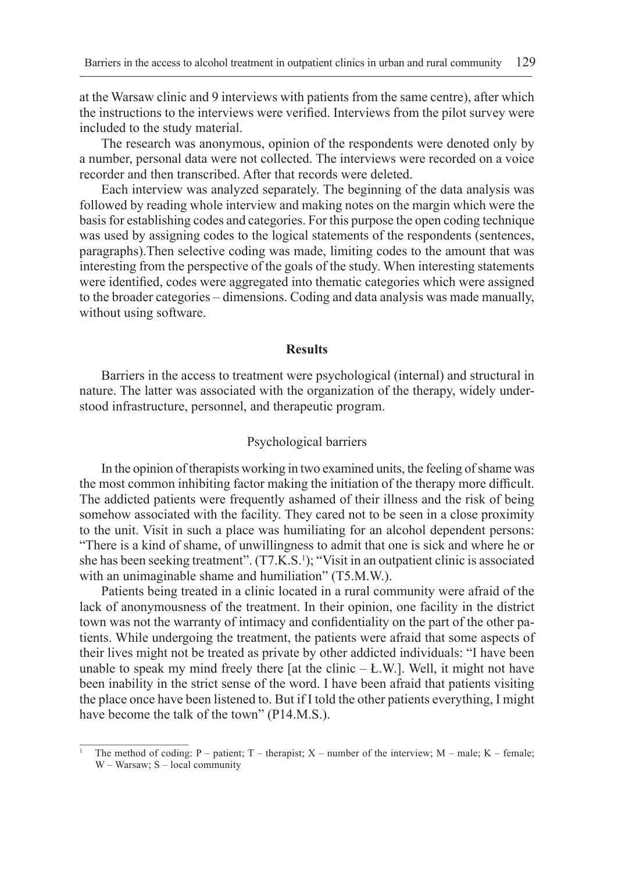at the Warsaw clinic and 9 interviews with patients from the same centre), after which the instructions to the interviews were verified. Interviews from the pilot survey were included to the study material.

The research was anonymous, opinion of the respondents were denoted only by a number, personal data were not collected. The interviews were recorded on a voice recorder and then transcribed. After that records were deleted.

Each interview was analyzed separately. The beginning of the data analysis was followed by reading whole interview and making notes on the margin which were the basis for establishing codes and categories. For this purpose the open coding technique was used by assigning codes to the logical statements of the respondents (sentences, paragraphs).Then selective coding was made, limiting codes to the amount that was interesting from the perspective of the goals of the study. When interesting statements were identified, codes were aggregated into thematic categories which were assigned to the broader categories – dimensions. Coding and data analysis was made manually, without using software.

#### **Results**

Barriers in the access to treatment were psychological (internal) and structural in nature. The latter was associated with the organization of the therapy, widely understood infrastructure, personnel, and therapeutic program.

#### Psychological barriers

In the opinion of therapists working in two examined units, the feeling of shame was the most common inhibiting factor making the initiation of the therapy more difficult. The addicted patients were frequently ashamed of their illness and the risk of being somehow associated with the facility. They cared not to be seen in a close proximity to the unit. Visit in such a place was humiliating for an alcohol dependent persons: "There is a kind of shame, of unwillingness to admit that one is sick and where he or she has been seeking treatment". (T7.K.S.<sup>1</sup>); "Visit in an outpatient clinic is associated with an unimaginable shame and humiliation" (T5.M.W.).

Patients being treated in a clinic located in a rural community were afraid of the lack of anonymousness of the treatment. In their opinion, one facility in the district town was not the warranty of intimacy and confidentiality on the part of the other patients. While undergoing the treatment, the patients were afraid that some aspects of their lives might not be treated as private by other addicted individuals: "I have been unable to speak my mind freely there [at the clinic  $- L$ .W.]. Well, it might not have been inability in the strict sense of the word. I have been afraid that patients visiting the place once have been listened to. But if I told the other patients everything, I might have become the talk of the town" (P14.M.S.).

<sup>&</sup>lt;sup>1</sup> The method of coding: P – patient; T – therapist; X – number of the interview; M – male; K – female; W – Warsaw; S – local community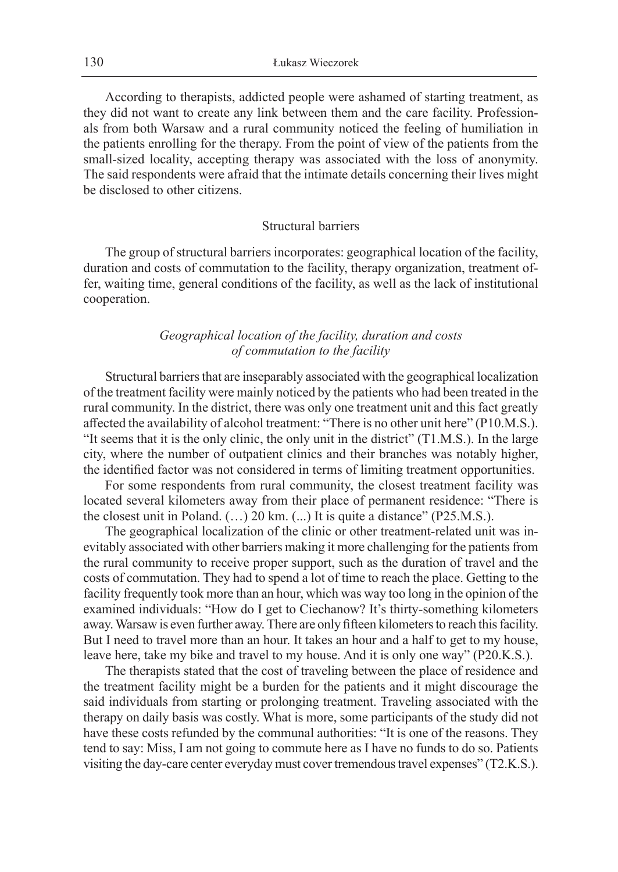According to therapists, addicted people were ashamed of starting treatment, as they did not want to create any link between them and the care facility. Professionals from both Warsaw and a rural community noticed the feeling of humiliation in the patients enrolling for the therapy. From the point of view of the patients from the small-sized locality, accepting therapy was associated with the loss of anonymity. The said respondents were afraid that the intimate details concerning their lives might be disclosed to other citizens.

#### Structural barriers

The group of structural barriers incorporates: geographical location of the facility, duration and costs of commutation to the facility, therapy organization, treatment offer, waiting time, general conditions of the facility, as well as the lack of institutional cooperation.

# *Geographical location of the facility, duration and costs of commutation to the facility*

Structural barriers that are inseparably associated with the geographical localization of the treatment facility were mainly noticed by the patients who had been treated in the rural community. In the district, there was only one treatment unit and this fact greatly affected the availability of alcohol treatment: "There is no other unit here" (P10.M.S.). "It seems that it is the only clinic, the only unit in the district" (T1.M.S.). In the large city, where the number of outpatient clinics and their branches was notably higher, the identified factor was not considered in terms of limiting treatment opportunities.

For some respondents from rural community, the closest treatment facility was located several kilometers away from their place of permanent residence: "There is the closest unit in Poland. (…) 20 km. (...) It is quite a distance" (P25.M.S.).

The geographical localization of the clinic or other treatment-related unit was inevitably associated with other barriers making it more challenging for the patients from the rural community to receive proper support, such as the duration of travel and the costs of commutation. They had to spend a lot of time to reach the place. Getting to the facility frequently took more than an hour, which was way too long in the opinion of the examined individuals: "How do I get to Ciechanow? It's thirty-something kilometers away. Warsaw is even further away. There are only fifteen kilometers to reach this facility. But I need to travel more than an hour. It takes an hour and a half to get to my house, leave here, take my bike and travel to my house. And it is only one way" (P20.K.S.).

The therapists stated that the cost of traveling between the place of residence and the treatment facility might be a burden for the patients and it might discourage the said individuals from starting or prolonging treatment. Traveling associated with the therapy on daily basis was costly. What is more, some participants of the study did not have these costs refunded by the communal authorities: "It is one of the reasons. They tend to say: Miss, I am not going to commute here as I have no funds to do so. Patients visiting the day-care center everyday must cover tremendous travel expenses" (T2.K.S.).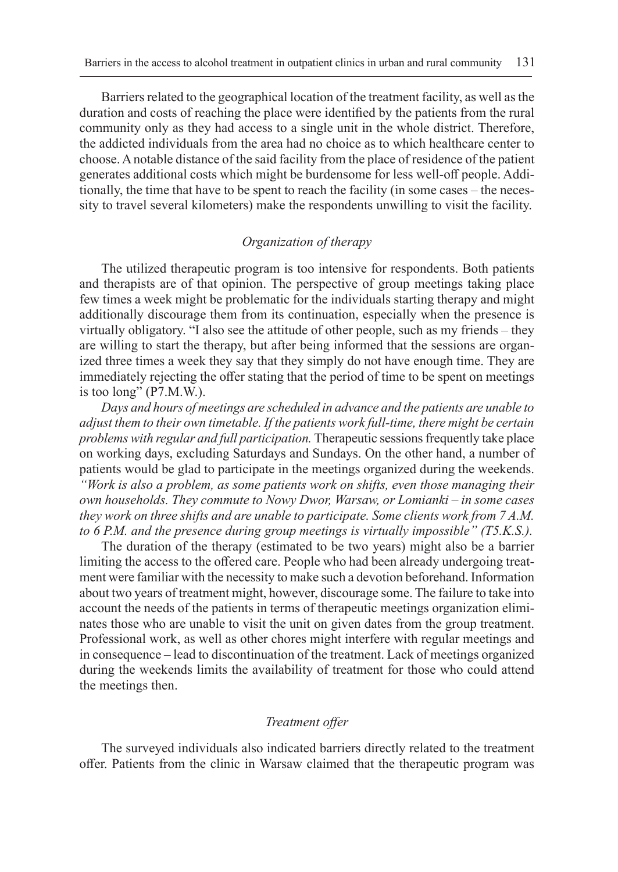Barriers related to the geographical location of the treatment facility, as well as the duration and costs of reaching the place were identified by the patients from the rural community only as they had access to a single unit in the whole district. Therefore, the addicted individuals from the area had no choice as to which healthcare center to choose. A notable distance of the said facility from the place of residence of the patient generates additional costs which might be burdensome for less well-off people. Additionally, the time that have to be spent to reach the facility (in some cases – the necessity to travel several kilometers) make the respondents unwilling to visit the facility.

# *Organization of therapy*

The utilized therapeutic program is too intensive for respondents. Both patients and therapists are of that opinion. The perspective of group meetings taking place few times a week might be problematic for the individuals starting therapy and might additionally discourage them from its continuation, especially when the presence is virtually obligatory. "I also see the attitude of other people, such as my friends – they are willing to start the therapy, but after being informed that the sessions are organized three times a week they say that they simply do not have enough time. They are immediately rejecting the offer stating that the period of time to be spent on meetings is too long" (P7.M.W.).

*Days and hours of meetings are scheduled in advance and the patients are unable to adjust them to their own timetable. If the patients work full-time, there might be certain problems with regular and full participation.* Therapeutic sessions frequently take place on working days, excluding Saturdays and Sundays. On the other hand, a number of patients would be glad to participate in the meetings organized during the weekends. *"Work is also a problem, as some patients work on shifts, even those managing their own households. They commute to Nowy Dwor, Warsaw, or Lomianki – in some cases they work on three shifts and are unable to participate. Some clients work from 7 A.M. to 6 P.M. and the presence during group meetings is virtually impossible" (T5.K.S.).*

The duration of the therapy (estimated to be two years) might also be a barrier limiting the access to the offered care. People who had been already undergoing treatment were familiar with the necessity to make such a devotion beforehand. Information about two years of treatment might, however, discourage some. The failure to take into account the needs of the patients in terms of therapeutic meetings organization eliminates those who are unable to visit the unit on given dates from the group treatment. Professional work, as well as other chores might interfere with regular meetings and in consequence – lead to discontinuation of the treatment. Lack of meetings organized during the weekends limits the availability of treatment for those who could attend the meetings then.

## *Treatment offer*

The surveyed individuals also indicated barriers directly related to the treatment offer. Patients from the clinic in Warsaw claimed that the therapeutic program was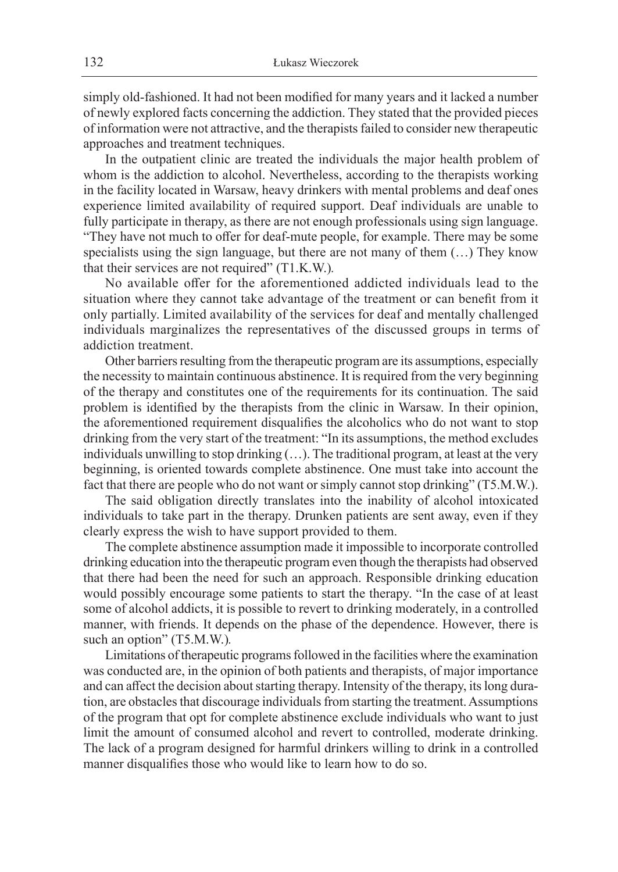simply old-fashioned. It had not been modified for many years and it lacked a number of newly explored facts concerning the addiction. They stated that the provided pieces of information were not attractive, and the therapists failed to consider new therapeutic approaches and treatment techniques.

In the outpatient clinic are treated the individuals the major health problem of whom is the addiction to alcohol. Nevertheless, according to the therapists working in the facility located in Warsaw, heavy drinkers with mental problems and deaf ones experience limited availability of required support. Deaf individuals are unable to fully participate in therapy, as there are not enough professionals using sign language. "They have not much to offer for deaf-mute people, for example. There may be some specialists using the sign language, but there are not many of them (…) They know that their services are not required" (T1.K.W.)*.*

No available offer for the aforementioned addicted individuals lead to the situation where they cannot take advantage of the treatment or can benefit from it only partially. Limited availability of the services for deaf and mentally challenged individuals marginalizes the representatives of the discussed groups in terms of addiction treatment.

Other barriers resulting from the therapeutic program are its assumptions, especially the necessity to maintain continuous abstinence. It is required from the very beginning of the therapy and constitutes one of the requirements for its continuation. The said problem is identified by the therapists from the clinic in Warsaw. In their opinion, the aforementioned requirement disqualifies the alcoholics who do not want to stop drinking from the very start of the treatment: "In its assumptions, the method excludes individuals unwilling to stop drinking (…). The traditional program, at least at the very beginning, is oriented towards complete abstinence. One must take into account the fact that there are people who do not want or simply cannot stop drinking" (T5.M.W.).

The said obligation directly translates into the inability of alcohol intoxicated individuals to take part in the therapy. Drunken patients are sent away, even if they clearly express the wish to have support provided to them.

The complete abstinence assumption made it impossible to incorporate controlled drinking education into the therapeutic program even though the therapists had observed that there had been the need for such an approach. Responsible drinking education would possibly encourage some patients to start the therapy. "In the case of at least some of alcohol addicts, it is possible to revert to drinking moderately, in a controlled manner, with friends. It depends on the phase of the dependence. However, there is such an option" (T5.M.W.)*.*

Limitations of therapeutic programs followed in the facilities where the examination was conducted are, in the opinion of both patients and therapists, of major importance and can affect the decision about starting therapy. Intensity of the therapy, its long duration, are obstacles that discourage individuals from starting the treatment. Assumptions of the program that opt for complete abstinence exclude individuals who want to just limit the amount of consumed alcohol and revert to controlled, moderate drinking. The lack of a program designed for harmful drinkers willing to drink in a controlled manner disqualifies those who would like to learn how to do so.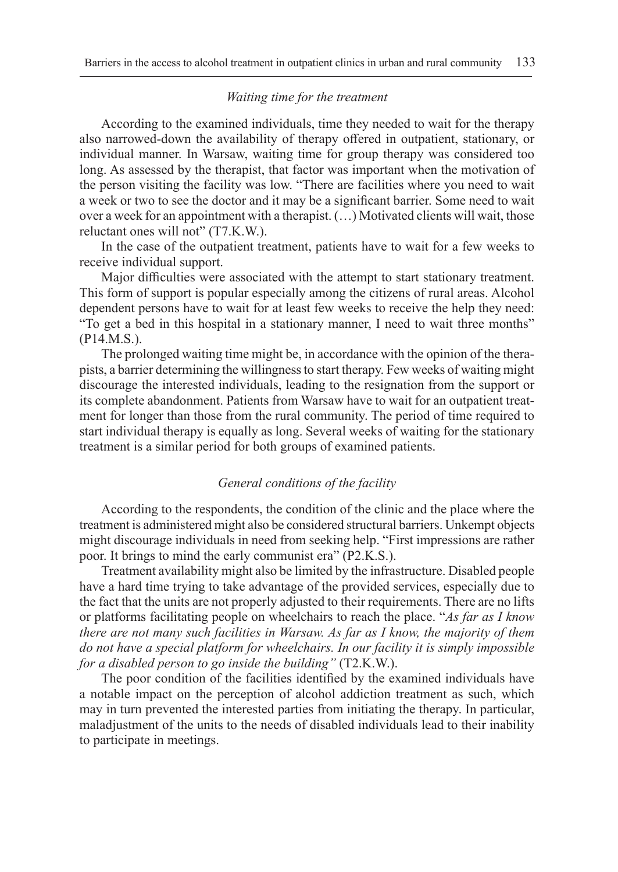#### *Waiting time for the treatment*

According to the examined individuals, time they needed to wait for the therapy also narrowed-down the availability of therapy offered in outpatient, stationary, or individual manner. In Warsaw, waiting time for group therapy was considered too long. As assessed by the therapist, that factor was important when the motivation of the person visiting the facility was low. "There are facilities where you need to wait a week or two to see the doctor and it may be a significant barrier. Some need to wait over a week for an appointment with a therapist. (…) Motivated clients will wait, those reluctant ones will not" (T7.K.W.).

In the case of the outpatient treatment, patients have to wait for a few weeks to receive individual support.

Major difficulties were associated with the attempt to start stationary treatment. This form of support is popular especially among the citizens of rural areas. Alcohol dependent persons have to wait for at least few weeks to receive the help they need: "To get a bed in this hospital in a stationary manner, I need to wait three months" (P14.M.S.).

The prolonged waiting time might be, in accordance with the opinion of the therapists, a barrier determining the willingness to start therapy. Few weeks of waiting might discourage the interested individuals, leading to the resignation from the support or its complete abandonment. Patients from Warsaw have to wait for an outpatient treatment for longer than those from the rural community. The period of time required to start individual therapy is equally as long. Several weeks of waiting for the stationary treatment is a similar period for both groups of examined patients.

#### *General conditions of the facility*

According to the respondents, the condition of the clinic and the place where the treatment is administered might also be considered structural barriers. Unkempt objects might discourage individuals in need from seeking help. "First impressions are rather poor. It brings to mind the early communist era" (P2.K.S.).

Treatment availability might also be limited by the infrastructure. Disabled people have a hard time trying to take advantage of the provided services, especially due to the fact that the units are not properly adjusted to their requirements. There are no lifts or platforms facilitating people on wheelchairs to reach the place. "*As far as I know there are not many such facilities in Warsaw. As far as I know, the majority of them do not have a special platform for wheelchairs. In our facility it is simply impossible for a disabled person to go inside the building"* (T2.K.W.).

The poor condition of the facilities identified by the examined individuals have a notable impact on the perception of alcohol addiction treatment as such, which may in turn prevented the interested parties from initiating the therapy. In particular, maladjustment of the units to the needs of disabled individuals lead to their inability to participate in meetings.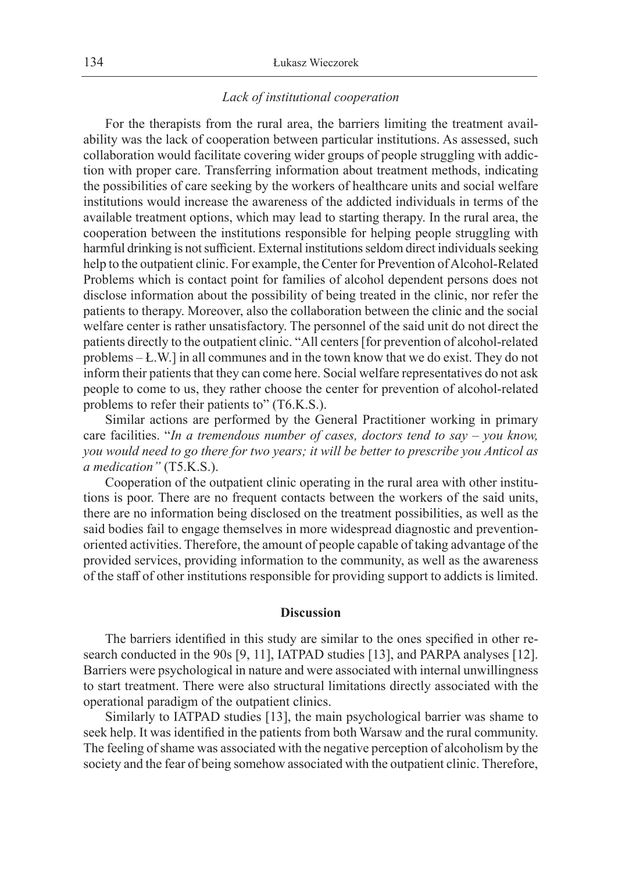# *Lack of institutional cooperation*

For the therapists from the rural area, the barriers limiting the treatment availability was the lack of cooperation between particular institutions. As assessed, such collaboration would facilitate covering wider groups of people struggling with addiction with proper care. Transferring information about treatment methods, indicating the possibilities of care seeking by the workers of healthcare units and social welfare institutions would increase the awareness of the addicted individuals in terms of the available treatment options, which may lead to starting therapy. In the rural area, the cooperation between the institutions responsible for helping people struggling with harmful drinking is not sufficient. External institutions seldom direct individuals seeking help to the outpatient clinic. For example, the Center for Prevention of Alcohol-Related Problems which is contact point for families of alcohol dependent persons does not disclose information about the possibility of being treated in the clinic, nor refer the patients to therapy. Moreover, also the collaboration between the clinic and the social welfare center is rather unsatisfactory. The personnel of the said unit do not direct the patients directly to the outpatient clinic. "All centers [for prevention of alcohol-related problems *–* Ł.W.] in all communes and in the town know that we do exist. They do not inform their patients that they can come here. Social welfare representatives do not ask people to come to us, they rather choose the center for prevention of alcohol-related problems to refer their patients to" (T6.K.S.).

Similar actions are performed by the General Practitioner working in primary care facilities. "*In a tremendous number of cases, doctors tend to say – you know, you would need to go there for two years; it will be better to prescribe you Anticol as a medication"* (T5.K.S.).

Cooperation of the outpatient clinic operating in the rural area with other institutions is poor. There are no frequent contacts between the workers of the said units, there are no information being disclosed on the treatment possibilities, as well as the said bodies fail to engage themselves in more widespread diagnostic and preventionoriented activities. Therefore, the amount of people capable of taking advantage of the provided services, providing information to the community, as well as the awareness of the staff of other institutions responsible for providing support to addicts is limited.

# **Discussion**

The barriers identified in this study are similar to the ones specified in other research conducted in the 90s [9, 11], IATPAD studies [13], and PARPA analyses [12]. Barriers were psychological in nature and were associated with internal unwillingness to start treatment. There were also structural limitations directly associated with the operational paradigm of the outpatient clinics.

Similarly to IATPAD studies [13], the main psychological barrier was shame to seek help. It was identified in the patients from both Warsaw and the rural community. The feeling of shame was associated with the negative perception of alcoholism by the society and the fear of being somehow associated with the outpatient clinic. Therefore,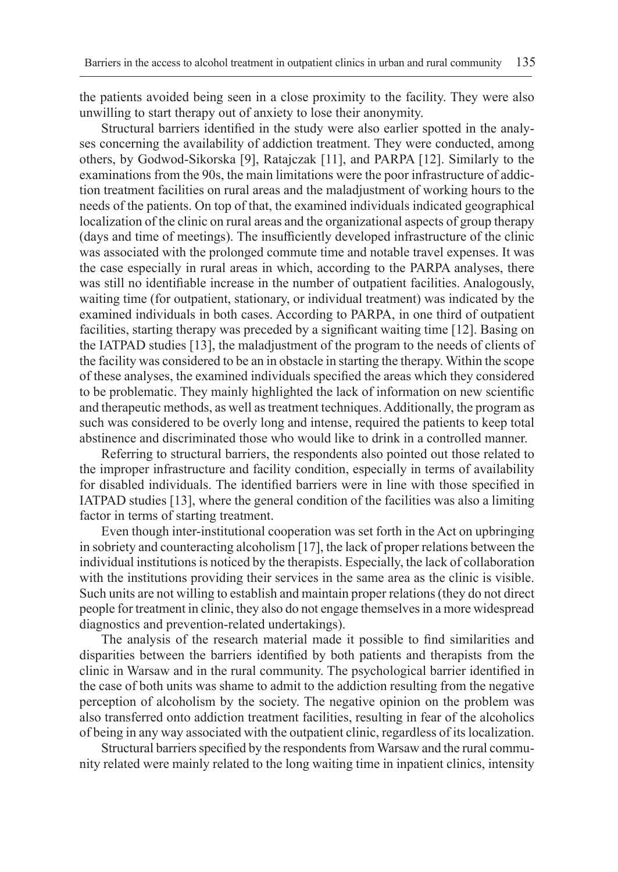the patients avoided being seen in a close proximity to the facility. They were also unwilling to start therapy out of anxiety to lose their anonymity.

Structural barriers identified in the study were also earlier spotted in the analyses concerning the availability of addiction treatment. They were conducted, among others, by Godwod-Sikorska [9], Ratajczak [11], and PARPA [12]. Similarly to the examinations from the 90s, the main limitations were the poor infrastructure of addiction treatment facilities on rural areas and the maladjustment of working hours to the needs of the patients. On top of that, the examined individuals indicated geographical localization of the clinic on rural areas and the organizational aspects of group therapy (days and time of meetings). The insufficiently developed infrastructure of the clinic was associated with the prolonged commute time and notable travel expenses. It was the case especially in rural areas in which, according to the PARPA analyses, there was still no identifiable increase in the number of outpatient facilities. Analogously, waiting time (for outpatient, stationary, or individual treatment) was indicated by the examined individuals in both cases. According to PARPA, in one third of outpatient facilities, starting therapy was preceded by a significant waiting time [12]. Basing on the IATPAD studies [13], the maladjustment of the program to the needs of clients of the facility was considered to be an in obstacle in starting the therapy. Within the scope of these analyses, the examined individuals specified the areas which they considered to be problematic. They mainly highlighted the lack of information on new scientific and therapeutic methods, as well as treatment techniques. Additionally, the program as such was considered to be overly long and intense, required the patients to keep total abstinence and discriminated those who would like to drink in a controlled manner.

Referring to structural barriers, the respondents also pointed out those related to the improper infrastructure and facility condition, especially in terms of availability for disabled individuals. The identified barriers were in line with those specified in IATPAD studies [13], where the general condition of the facilities was also a limiting factor in terms of starting treatment.

Even though inter-institutional cooperation was set forth in the Act on upbringing in sobriety and counteracting alcoholism [17], the lack of proper relations between the individual institutions is noticed by the therapists. Especially, the lack of collaboration with the institutions providing their services in the same area as the clinic is visible. Such units are not willing to establish and maintain proper relations (they do not direct people for treatment in clinic, they also do not engage themselves in a more widespread diagnostics and prevention-related undertakings).

The analysis of the research material made it possible to find similarities and disparities between the barriers identified by both patients and therapists from the clinic in Warsaw and in the rural community. The psychological barrier identified in the case of both units was shame to admit to the addiction resulting from the negative perception of alcoholism by the society. The negative opinion on the problem was also transferred onto addiction treatment facilities, resulting in fear of the alcoholics of being in any way associated with the outpatient clinic, regardless of its localization.

Structural barriers specified by the respondents from Warsaw and the rural community related were mainly related to the long waiting time in inpatient clinics, intensity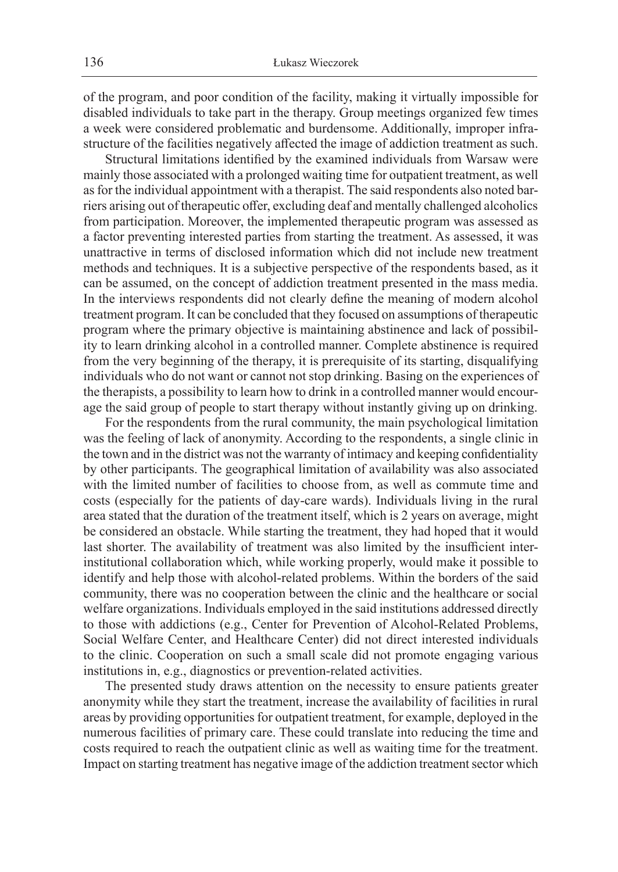of the program, and poor condition of the facility, making it virtually impossible for disabled individuals to take part in the therapy. Group meetings organized few times a week were considered problematic and burdensome. Additionally, improper infrastructure of the facilities negatively affected the image of addiction treatment as such.

Structural limitations identified by the examined individuals from Warsaw were mainly those associated with a prolonged waiting time for outpatient treatment, as well as for the individual appointment with a therapist. The said respondents also noted barriers arising out of therapeutic offer, excluding deaf and mentally challenged alcoholics from participation. Moreover, the implemented therapeutic program was assessed as a factor preventing interested parties from starting the treatment. As assessed, it was unattractive in terms of disclosed information which did not include new treatment methods and techniques. It is a subjective perspective of the respondents based, as it can be assumed, on the concept of addiction treatment presented in the mass media. In the interviews respondents did not clearly define the meaning of modern alcohol treatment program. It can be concluded that they focused on assumptions of therapeutic program where the primary objective is maintaining abstinence and lack of possibility to learn drinking alcohol in a controlled manner. Complete abstinence is required from the very beginning of the therapy, it is prerequisite of its starting, disqualifying individuals who do not want or cannot not stop drinking. Basing on the experiences of the therapists, a possibility to learn how to drink in a controlled manner would encourage the said group of people to start therapy without instantly giving up on drinking.

For the respondents from the rural community, the main psychological limitation was the feeling of lack of anonymity. According to the respondents, a single clinic in the town and in the district was not the warranty of intimacy and keeping confidentiality by other participants. The geographical limitation of availability was also associated with the limited number of facilities to choose from, as well as commute time and costs (especially for the patients of day-care wards). Individuals living in the rural area stated that the duration of the treatment itself, which is 2 years on average, might be considered an obstacle. While starting the treatment, they had hoped that it would last shorter. The availability of treatment was also limited by the insufficient interinstitutional collaboration which, while working properly, would make it possible to identify and help those with alcohol-related problems. Within the borders of the said community, there was no cooperation between the clinic and the healthcare or social welfare organizations. Individuals employed in the said institutions addressed directly to those with addictions (e.g., Center for Prevention of Alcohol-Related Problems, Social Welfare Center, and Healthcare Center) did not direct interested individuals to the clinic. Cooperation on such a small scale did not promote engaging various institutions in, e.g., diagnostics or prevention-related activities.

The presented study draws attention on the necessity to ensure patients greater anonymity while they start the treatment, increase the availability of facilities in rural areas by providing opportunities for outpatient treatment, for example, deployed in the numerous facilities of primary care. These could translate into reducing the time and costs required to reach the outpatient clinic as well as waiting time for the treatment. Impact on starting treatment has negative image of the addiction treatment sector which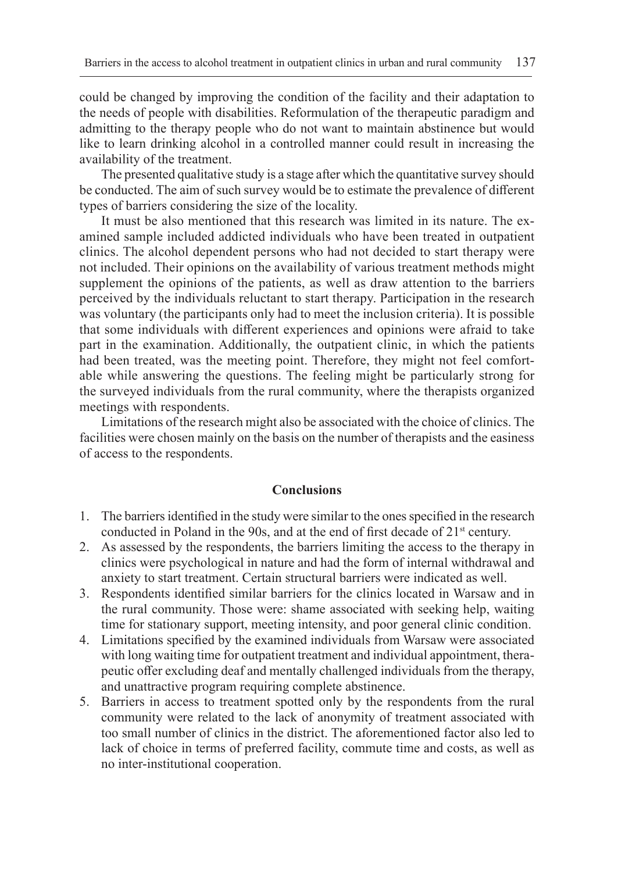could be changed by improving the condition of the facility and their adaptation to the needs of people with disabilities. Reformulation of the therapeutic paradigm and admitting to the therapy people who do not want to maintain abstinence but would like to learn drinking alcohol in a controlled manner could result in increasing the availability of the treatment.

The presented qualitative study is a stage after which the quantitative survey should be conducted. The aim of such survey would be to estimate the prevalence of different types of barriers considering the size of the locality.

It must be also mentioned that this research was limited in its nature. The examined sample included addicted individuals who have been treated in outpatient clinics. The alcohol dependent persons who had not decided to start therapy were not included. Their opinions on the availability of various treatment methods might supplement the opinions of the patients, as well as draw attention to the barriers perceived by the individuals reluctant to start therapy. Participation in the research was voluntary (the participants only had to meet the inclusion criteria). It is possible that some individuals with different experiences and opinions were afraid to take part in the examination. Additionally, the outpatient clinic, in which the patients had been treated, was the meeting point. Therefore, they might not feel comfortable while answering the questions. The feeling might be particularly strong for the surveyed individuals from the rural community, where the therapists organized meetings with respondents.

Limitations of the research might also be associated with the choice of clinics. The facilities were chosen mainly on the basis on the number of therapists and the easiness of access to the respondents.

# **Conclusions**

- 1. The barriers identified in the study were similar to the ones specified in the research conducted in Poland in the 90s, and at the end of first decade of 21<sup>st</sup> century.
- 2. As assessed by the respondents, the barriers limiting the access to the therapy in clinics were psychological in nature and had the form of internal withdrawal and anxiety to start treatment. Certain structural barriers were indicated as well.
- 3. Respondents identified similar barriers for the clinics located in Warsaw and in the rural community. Those were: shame associated with seeking help, waiting time for stationary support, meeting intensity, and poor general clinic condition.
- 4. Limitations specified by the examined individuals from Warsaw were associated with long waiting time for outpatient treatment and individual appointment, therapeutic offer excluding deaf and mentally challenged individuals from the therapy, and unattractive program requiring complete abstinence.
- 5. Barriers in access to treatment spotted only by the respondents from the rural community were related to the lack of anonymity of treatment associated with too small number of clinics in the district. The aforementioned factor also led to lack of choice in terms of preferred facility, commute time and costs, as well as no inter-institutional cooperation.